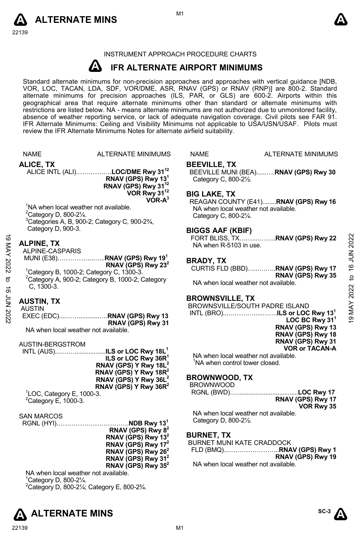



## INSTRUMENT APPROACH PROCEDURE CHARTS

### **A IFR ALTERNATE AIRPORT MINIMUMS**

Standard alternate minimums for non-precision approaches and approaches with vertical guidance [NDB,<br>VOR, LOC, TACAN, LDA, SDF, VOR/DME, ASR, RNAV (GPS) or RNAV (RNP)] are 800-2. Standard<br>alternate minimums for precision a geographical area that require alternate minimums other than standard or alternate minimums with restrictions are listed below. NA - means alternate minimums are not authorized due to unmonitored facility, absence of weather reporting service, or lack of adequate navigation coverage. Civil pilots see FAR 91. IFR Alternate Minimums: Ceiling and Visibility Minimums not applicable to USA/USN/USAF. Pilots must review the IFR Alternate Minimums Notes for alternate airfield suitability.

|            | <b>NAME</b>                                                                             | <b>ALTERNATE MINIMUMS</b>                                                                                         | NAME                                                                                 | <b>ALTERNATE MINIMUMS</b>                                                          |                        |  |  |
|------------|-----------------------------------------------------------------------------------------|-------------------------------------------------------------------------------------------------------------------|--------------------------------------------------------------------------------------|------------------------------------------------------------------------------------|------------------------|--|--|
|            | <b>ALICE, TX</b>                                                                        | ALICE INTL (ALI)LOC/DME Rwy 31 <sup>12</sup><br>RNAV (GPS) Rwy 13 <sup>1</sup><br>RNAV (GPS) Rwy 31 <sup>12</sup> | <b>BEEVILLE, TX</b><br>BEEVILLE MUNI (BEA)RNAV (GPS) Rwy 30<br>Category C, 800-21/2. |                                                                                    |                        |  |  |
|            | <sup>1</sup> NA when local weather not available.<br><sup>2</sup> Category D, 800-21/4. | VOR Rwy 31 <sup>12</sup><br>$VOR-A3$<br><sup>3</sup> Categories A, B, 900-2; Category C, 900-23/4,                | <b>BIG LAKE, TX</b><br>Category C, 800-21/4.                                         | REAGAN COUNTY (E41)RNAV (GPS) Rwy 16<br>NA when local weather not available.       |                        |  |  |
|            | Category D, 900-3.<br><b>ALPINE, TX</b>                                                 |                                                                                                                   | <b>BIGGS AAF (KBIF)</b><br>NA when R-5103 in use.                                    |                                                                                    | 2022                   |  |  |
| 9 MAY 2022 | ALPINE-CASPARIS                                                                         | MUNI (E38)RNAV (GPS) Rwy 19 <sup>1</sup><br>RNAV (GPS) Rwy $23^2$                                                 | <b>BRADY, TX</b>                                                                     | CURTIS FLD (BBD)RNAV (GPS) Rwy 17                                                  | <b>16 JUN</b>          |  |  |
| ಕ<br>ಕ     | ${}^{1}$ Category B, 1000-2; Category C, 1300-3.<br>C. 1300-3.                          | <sup>2</sup> Category A, 900-2; Category B, 1000-2; Category                                                      |                                                                                      | RNAV (GPS) Rwy 35<br>NA when local weather not available.                          | $\overline{a}$<br>2022 |  |  |
| 7708 2022  | <b>AUSTIN, TX</b><br><b>AUSTIN</b>                                                      | EXEC (EDC)RNAV (GPS) Rwy 13                                                                                       | <b>BROWNSVILLE, TX</b>                                                               | BROWNSVILLE/SOUTH PADRE ISLAND                                                     | MAY.                   |  |  |
|            | NA when local weather not available.                                                    | RNAV (GPS) Rwy 31                                                                                                 |                                                                                      | LOC BC Rwy $311$<br>RNAV (GPS) Rwy 13<br>RNAV (GPS) Rwy 18                         | G                      |  |  |
|            | AUSTIN-BERGSTROM                                                                        | INTL (AUS)ILS or LOC Rwy 18L <sup>1</sup>                                                                         |                                                                                      | RNAV (GPS) Rwy 31<br><b>VOR or TACAN-A</b><br>NA when local weather not available. |                        |  |  |
|            |                                                                                         | ILS or LOC Rwy 36R <sup>1</sup><br>RNAV (GPS) Y Rwy 18L <sup>2</sup><br>RNAV (GPS) Y Rwy 18R <sup>2</sup>         |                                                                                      | <sup>1</sup> NA when control tower closed.                                         |                        |  |  |
|            | <sup>1</sup> LOC, Category E, 1000-3.                                                   | RNAV (GPS) Y Rwy 36L <sup>2</sup><br>RNAV (GPS) Y Rwy $36R^2$                                                     | <b>BROWNWOOD, TX</b><br><b>BROWNWOOD</b>                                             | RGNL (BWD)LOC Rwy 17                                                               |                        |  |  |
|            | $2$ Category E, 1000-3.                                                                 |                                                                                                                   |                                                                                      | RNAV (GPS) Rwy 17<br>VOR Rwy 35<br>NA when local weather not available.            |                        |  |  |
|            | <b>SAN MARCOS</b>                                                                       | RNAV (GPS) Rwy 8 <sup>2</sup>                                                                                     | Category D, 800-21/2.                                                                |                                                                                    |                        |  |  |
|            |                                                                                         | RNAV (GPS) Rwy 13 <sup>2</sup><br>RNAV (GPS) Rwy 17 <sup>2</sup><br>RNAV (GPS) Rwy $262$                          | <b>BURNET, TX</b>                                                                    | BURNET MUNI KATE CRADDOCK                                                          |                        |  |  |
|            |                                                                                         | RNAV (GPS) Rwy 31 <sup>2</sup><br>RNAV (GPS) Rwy 35 <sup>2</sup>                                                  |                                                                                      | RNAV (GPS) Rwy 19<br>NA when local weather not available.                          |                        |  |  |
|            | NA when local weather not available.<br>$10$ at a $\mu$ and $\mu$ 000 01/               |                                                                                                                   |                                                                                      |                                                                                    |                        |  |  |

Category D, 800-2¼.

 $^{2}$ Category D, 800-21⁄4; Category E, 800-23⁄4.



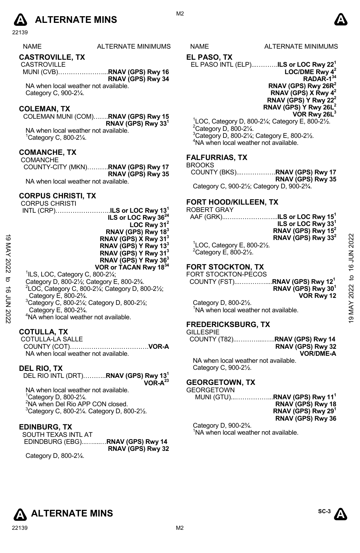

22139

| <b>NAME</b> | ALTERNATE MINIMUN |  |
|-------------|-------------------|--|
|             |                   |  |

### **CASTROVILLE, TX**

 CASTROVILLE MUNI (CVB)…………………...**RNAV (GPS) Rwy 16 RNAV (GPS) Rwy 34** 

NA when local weather not available. Category C, 900-2¼.

### **COLEMAN, TX**

COLEMAN MUNI (COM)…….**RNAV (GPS) Rwy 15 RNAV (GPS) Rwy 331** 

NA when local weather not available. 1 Category C, 800-2¼.

### **COMANCHE, TX**  COMANCHE

COUNTY-CITY (MKN)……….**RNAV (GPS) Rwy 17 RNAV (GPS) Rwy 35**  NA when local weather not available.

### **CORPUS CHRISTI, TX**

|             | <b>CORPUS CHRISTI</b>                                                                   | FORT HOOD/KILLEEN. TX                            |              |
|-------------|-----------------------------------------------------------------------------------------|--------------------------------------------------|--------------|
|             | INTL (CRP)ILS or LOC Rwy 13 <sup>1</sup>                                                | <b>ROBERT GRAY</b>                               |              |
|             | ILS or LOC Rwy 36 <sup>24</sup>                                                         | ILS or LOC Rwy 15 $^{\rm h}$<br>AAF (GRK)        |              |
|             | LOC Rwy $31^2$                                                                          | ILS or LOC Rwy 33 <sup>1</sup>                   |              |
|             | RNAV (GPS) Rwy 18 <sup>3</sup>                                                          | RNAV (GPS) Rwy 15 <sup>2</sup>                   |              |
| ಠ           | RNAV (GPS) X Rwy 31 <sup>3</sup>                                                        | RNAV (GPS) Rwy 33 <sup>2</sup>                   |              |
|             | RNAV (GPS) Y Rwy 13 <sup>3</sup>                                                        | $\degree$ LOC, Category E, 800-2 $\frac{1}{2}$ . |              |
|             | RNAV (GPS) Y Rwy 31 <sup>3</sup>                                                        | $2$ Category E, 800-2 $\frac{1}{2}$ .            |              |
|             | RNAV (GPS) Y Rwy 36 <sup>3</sup>                                                        |                                                  |              |
| MAY 2022    | VOR or TACAN Rwy 1834                                                                   | <b>FORT STOCKTON, TX</b>                         | 16 JUN 2022  |
|             | $^1$ ILS, LOC, Category C, 800-2 $\frac{1}{4}$ ;                                        | FORT STOCKTON-PECOS                              |              |
| ಕ           | Category D, 800-21/ <sub>2</sub> ; Category E, 800-23/4.                                |                                                  | $\mathsf{a}$ |
|             | <sup>2</sup> LOC, Category C, 800-21/ <sub>4</sub> ; Category D, 800-21/ <sub>2</sub> ; | RNAV (GPS) Rwy 30 <sup>1</sup>                   |              |
|             | Category E, 800-2 <sup>3</sup> / <sub>4</sub> .                                         | VOR Rwy 12                                       | 2022         |
|             |                                                                                         |                                                  |              |
|             | <sup>3</sup> Category C, 800-21/ <sub>4</sub> ; Category D, 800-21/ <sub>2</sub> ;      | Category D, 800-21/2.                            | MAY          |
|             | Category E, 800-23/4.                                                                   | NA when local weather not available.             |              |
| 16 JUN 2022 | <sup>4</sup> NA when local weather not available.                                       | ---------------                                  |              |
|             |                                                                                         |                                                  |              |

### **COTULLA, TX**

 COTULLA-LA SALLE COUNTY (COT)……………………………….**VOR-A**  NA when local weather not available.

### **DEL RIO, TX**

DEL RIO INTL (DRT)………..**RNAV (GPS) Rwy 131** 

**VOR-A23**

NA when local weather not available. Category D, 800-2¼. NA when Del Rio APP CON closed. Category C, 800-2 $\frac{1}{4}$ . Category D, 800-2 $\frac{1}{2}$ .

### **EDINBURG, TX**

SOUTH TEXAS INTL AT EDINDBURG (EBG)...…....…**RNAV (GPS) Rwy 14 RNAV (GPS) Rwy 32** 

Category D, 800-2¼.

MS NAME ALTERNATE MINIMUMS

M<sub>2</sub>

### **EL PASO, TX**

EL PASO INTL (ELP)...……….**ILS or LOC Rwy 221 LOC/DME Rwy 42 RADAR-134** 

**RNAV (GPS) Rwy 26R2 RNAV (GPS) X Rwy 42 RNAV (GPS) Y Rwy 222 RNAV (GPS) Y Rwy 26L2** 

**VOR Rwy 26L3**

 $^{1}$ LOC, Category D, 800-21⁄<sub>4</sub>; Category E, 800-21⁄<sub>2</sub>. Category D, 800-2¼. 3 Category D, 800-2¼; Category E, 800-2½. 4 NA when local weather not available.

### **FALFURRIAS, TX**

```
BROOKS
```
COUNTY (BKS)...…………….**RNAV (GPS) Rwy 17 RNAV (GPS) Rwy 35** 

Category C, 900-2½; Category D, 900-2¾.

### **FORT HOOD/KILLEEN, TX**

# ROBERT GRAY<br>AAF (GRK)

| AAF (GRK) <b>ILS or LOC Rwv 15<sup>1</sup></b> |                                |
|------------------------------------------------|--------------------------------|
|                                                | ILS or LOC Rwy 33 <sup>1</sup> |
|                                                | RNAV (GPS) Rwy 15 <sup>2</sup> |
|                                                | RNAV (GPS) Rwy 33 <sup>2</sup> |
| $1$ LOC, Category E, 800-2 $\frac{1}{2}$ .     |                                |
| $20 - 1 - 20 = 5$ 000.01/                      |                                |

### **FORT STOCKTON, TX**

### **FREDERICKSBURG, TX**  GILLESPIE

| uilleorie |                   |
|-----------|-------------------|
|           |                   |
|           | RNAV (GPS) Rwy 32 |
|           | <b>VOR/DME-A</b>  |

NA when local weather not available. Category C, 900-2½.

### **GEORGETOWN, TX**

### **GEORGETOWN**

MUNI (GTU)...……………...**RNAV (GPS) Rwy 111** 

**RNAV (GPS) Rwy 18 RNAV (GPS) Rwy 291 RNAV (GPS) Rwy 36** 

Category D, 900-2¾. <sup>1</sup>NA when local weather not available.



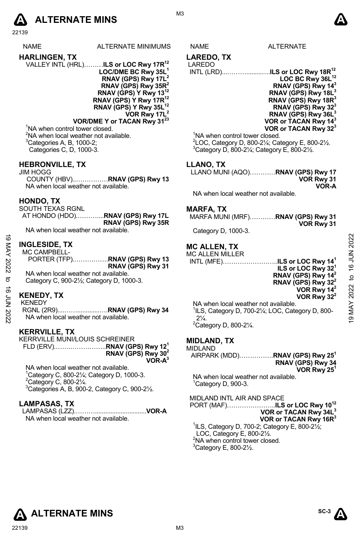# **A** ALTERNATE MINS  $\bullet$

22139

NAME ALTERNATE MINIMUMS NAME ALTERNATE

- **HARLINGEN, TX**  VALLEY INTL (HRL)………**ILS or LOC Rwy 17R12 LOC/DME BC Rwy 35L1 RNAV (GPS) Rwy 17L2 RNAV (GPS) Rwy 35R2 RNAV (GPS) Y Rwy 13 RNAV (GPS) Y Rwy 17R12** 
	- **RNAV (GPS) Y Rwy 35L12 VOR Rwy 17L2**

**VOR/DME Y or TACAN Rwy 3123** <sup>1</sup>NA when control tower closed. <sup>2</sup>NA when local weather not available.

 ${}^{3}$ Categories A, B, 1000-2; Categories C, D, 1000-3.

### **HEBRONVILLE, TX**

JIM HOGG COUNTY (HBV)..……………**RNAV (GPS) Rwy 13**  NA when local weather not available.

### **HONDO, TX**

SOUTH TEXAS RGNL AT HONDO (HDO).………....**RNAV (GPS) Rwy 17L RNAV (GPS) Rwy 35R** 

NA when local weather not available.

# **INGLESIDE, TX**

MC CAMPBELL-PORTER (TFP).…………….**RNAV (GPS) Rwy 13 RNAV (GPS) Rwy 31**  NA when local weather not available. Category C, 900-2½; Category D, 1000-3. 19 MAY 2022 to 16 JUN 202219 MAY 2022 to 16 JUN 2022

## **KENEDY, TX**

KENEDY

RGNL (2R9)....…….............….**RNAV (GPS) Rwy 34**  NA when local weather not available.

### **KERRVILLE, TX**

KERRVILLE MUNI/LOUIS SCHREINER FLD (ERV).…….……………..**RNAV (GPS) Rwy 121 RNAV (GPS) Rwy 302 VOR-A3**

NA when local weather not available. 1 Category C, 800-2¼; Category D, 1000-3.  $2$ Category C, 800-2 $\frac{1}{4}$ .

 $3$ Categories A, B, 900-2, Category C, 900-2 $\frac{1}{2}$ .

### **LAMPASAS, TX**

LAMPASAS (LZZ).………..............................**VOR-A**  NA when local weather not available.

# **LAREDO, TX**

### LAREDO INTL (LRD)...……….........….**ILS or LOC Rwy 18R12** LOC BC Rwy 36L<sup>12</sup> **RNAV (GPS) Rwy 143 RNAV (GPS) Rwy 18L3 RNAV (GPS) Rwy 18R3 RNAV (GPS) Rwy 323 RNAV (GPS) Rwy 36L3 VOR or TACAN Rwy 143**

**VOR or TACAN Rwy 323** <sup>1</sup>NA when control tower closed.  $^{2}$ LOC, Category D, 800-2¼; Category E, 800-2½.  $3$ Category D, 800-21⁄<sub>4</sub>; Category E, 800-21⁄<sub>2</sub>.

### **LLANO, TX**

LLANO MUNI (AQO)…………**RNAV (GPS) Rwy 17 VOR Rwy 31 VOR-A** 

NA when local weather not available.

### **MARFA, TX**

MARFA MUNI (MRF)…………**RNAV (GPS) Rwy 31 VOR Rwy 31** 

Category D, 1000-3.

# **MC ALLEN, TX**

| <b>MC ALLEN MILLER</b> |                                          |
|------------------------|------------------------------------------|
|                        | INTL (MFE)ILS or LOC Rwy 14 <sup>1</sup> |
|                        | ILS or LOC Rwy 32 <sup>1</sup>           |
|                        | <b>RNAV</b> (GPS) Rwy $14^2$             |
|                        |                                          |

 $32<sup>1</sup>$ <br>14<sup>2</sup> **RNAV (GPS) Rwy 142 RNAV (GPS) Rwy 322 VOR Rwy 142 VOR Rwy 322** 

NA when local weather not available. 1 ILS, Category D, 700-2¼; LOC, Category D, 800-  $2\frac{1}{4}$ .  $2$ Category D, 800-2 $\frac{1}{4}$ .

### **MIDLAND, TX**

| MIDLAND |  |  |  |  |  |
|---------|--|--|--|--|--|
|         |  |  |  |  |  |

MIDLAND AIRPARK (MDD)…………….**RNAV (GPS) Rwy 251 RNAV (GPS) Rwy 34 VOR Rwy 251**  NA when local weather not available.

<sup>1</sup>Category D, 900-3.

MIDLAND INTL AIR AND SPACE

PORT (MAF)…………………..**ILS or LOC Rwy 1012 VOR or TACAN Rwy 34L3 VOR or TACAN Rwy 16R3** 1 ILS, Category D, 700-2; Category E, 800-2½;

LOC, Category E, 800-2½. <sup>2</sup>NA when control tower closed.

 $3$ Category E, 800-2 $\frac{1}{2}$ .





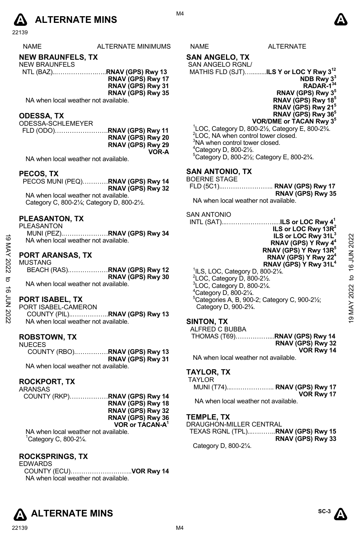

22139

| ۹M | <b>MINIMI</b><br>∆ו∩ר<br>Έ<br>Λ.<br>' ™⊾<br>ᇺ | '∖M∟ | - |
|----|-----------------------------------------------|------|---|
|    |                                               |      |   |

# **NEW BRAUNFELS, TX**

- NEW BRAUNFELS NTL (BAZ)..……………….…..**RNAV (GPS) Rwy 13 RNAV (GPS) Rwy 17** 
	- **RNAV (GPS) Rwy 31** 
		- **RNAV (GPS) Rwy 35**

NA when local weather not available.

### **ODESSA, TX**

ODESSA-SCHLEMEYER FLD (ODO)…………………….**RNAV (GPS) Rwy 11 RNAV (GPS) Rwy 20 RNAV (GPS) Rwy 29 VOR-A** 

NA when local weather not available.

### **PECOS, TX**

PECOS MUNI (PEQ)…………**RNAV (GPS) Rwy 14 RNAV (GPS) Rwy 32**  NA when local weather not available. Category C, 800-2¼; Category D, 800-2½.

### **PLEASANTON, TX**

### **PORT ARANSAS, TX**

| MUSTANG                              |                   |
|--------------------------------------|-------------------|
| BEACH (RAS)RNAV (GPS) Rwy 12         |                   |
|                                      | RNAV (GPS) Rwy 30 |
| NA when local weather not available. |                   |

## **PORT ISABEL, TX**

COUNTY (PIL)..……………..**RNAV (GPS) Rwy 13**  NA when local weather not available.

### **ROBSTOWN, TX**  NUECES

| טבטבט                                |                   |
|--------------------------------------|-------------------|
| COUNTY (RBO)RNAV (GPS) Rwy 13        |                   |
|                                      | RNAV (GPS) Rwy 31 |
| NA when local weather not available. |                   |

### **ROCKPORT, TX**

| ARANSAS                              |                             |
|--------------------------------------|-----------------------------|
|                                      |                             |
|                                      | RNAV (GPS) Rwy 18           |
|                                      | RNAV (GPS) Rwy 32           |
|                                      | RNAV (GPS) Rwy 36           |
|                                      | VOR or TACAN-A <sup>1</sup> |
| NA when local weather not available. |                             |

1 Category C, 800-2¼.

### **ROCKSPRINGS, TX**

EDWARDS COUNTY (ECU)………………………..**VOR Rwy 14**  NA when local weather not available.

### **SAN ANGELO, TX**  SAN ANGELO RGNL/

# MATHIS FLD (SJT)….........**ILS Y or LOC Y Rwy 312**

**NDB Rwy 33 RADAR-134 RNAV (GPS) Rwy 35 RNAV (GPS) Rwy 185 RNAV (GPS) Rwy 215 RNAV (GPS) Rwy 365 VOR/DME or TACAN Rwy 35**

### $1$ LOC, Category D, 800-2 $\frac{1}{2}$ , Category E, 800-2 $\frac{3}{4}$ . <sup>2</sup>LOC, NA when control tower closed. <sup>3</sup>NA when control tower closed. 4 Category D, 800-2½.

5 Category D, 800-2½; Category E, 800-2¾.

### **SAN ANTONIO, TX**

| BOERNE STAGE |                   |
|--------------|-------------------|
|              |                   |
|              | RNAV (GPS) Rwy 35 |

NA when local weather not available.

### SAN ANTONIO

| ಠ           | PLEASANIUN.IX<br><b>PLEASANTON</b><br>MUNI (PEZ)RNAV (GPS) Rwy 34<br>NA when local weather not available. | INTL (SAT)ILS or LOC Rwy 4 <sup>1</sup><br>ILS or LOC Rwy $13R^2$<br>ILS or LOC Rwy 31L <sup>3</sup><br>RNAV (GPS) Y Rwy 4 <sup>4</sup>                            |             |
|-------------|-----------------------------------------------------------------------------------------------------------|--------------------------------------------------------------------------------------------------------------------------------------------------------------------|-------------|
| KAY<br>2022 | <b>PORT ARANSAS, TX</b><br><b>MUSTANG</b>                                                                 | RNAV (GPS) Y Rwy 13R <sup>5</sup><br>RNAV (GPS) Y Rwy 22 <sup>4</sup><br>RNAV (GPS) Y Rwy 31L <sup>4</sup><br>${}^{1}$ ILS, LOC, Category D, 800-2 $\frac{1}{4}$ . | 16 JUN 2022 |
| ನ<br>ಹೆ     | RNAV (GPS) Rwy 30<br>NA when local weather not available.                                                 | $2$ LOC, Category D, 800-2 $\frac{1}{2}$ .<br>$3$ LOC, Category D, 800-2 $\frac{1}{4}$ .<br>$4$ Category D, 800-2 $\frac{1}{4}$ .                                  | ₫<br>2022   |
|             | <b>PORT ISABEL, TX</b>                                                                                    | <sup>5</sup> Categories A, B, 900-2; Category C, 900-21/ <sub>2</sub> ;                                                                                            |             |
|             | PORT ISABEL-CAMERON                                                                                       | Category D, 900-2 <sup>3</sup> / <sub>4</sub> .                                                                                                                    | ≿           |
| 70N 2022    | NA when local weather not available.                                                                      | SINTON TX                                                                                                                                                          | ග           |

### **SINTON, TX**

| ALFRED C BUBBA |                   |
|----------------|-------------------|
|                |                   |
|                | RNAV (GPS) Rwy 32 |
|                | VOR Rwy 14        |

NA when local weather not available.

### **TAYLOR, TX**  TAYLOR

| AILUR                                |            |
|--------------------------------------|------------|
| MUNI (T74) RNAV (GPS) Rwy 17         |            |
|                                      | VOR Rwy 17 |
| NA when local weather not available. |            |

### **TEMPLE, TX**

| DRAUGHON-MILLER CENTRAL           |                   |
|-----------------------------------|-------------------|
| TEXAS RGNL (TPL)RNAV (GPS) Rwy 15 |                   |
|                                   | RNAV (GPS) Rwy 33 |
| Category D, 800-21/4.             |                   |





### M4